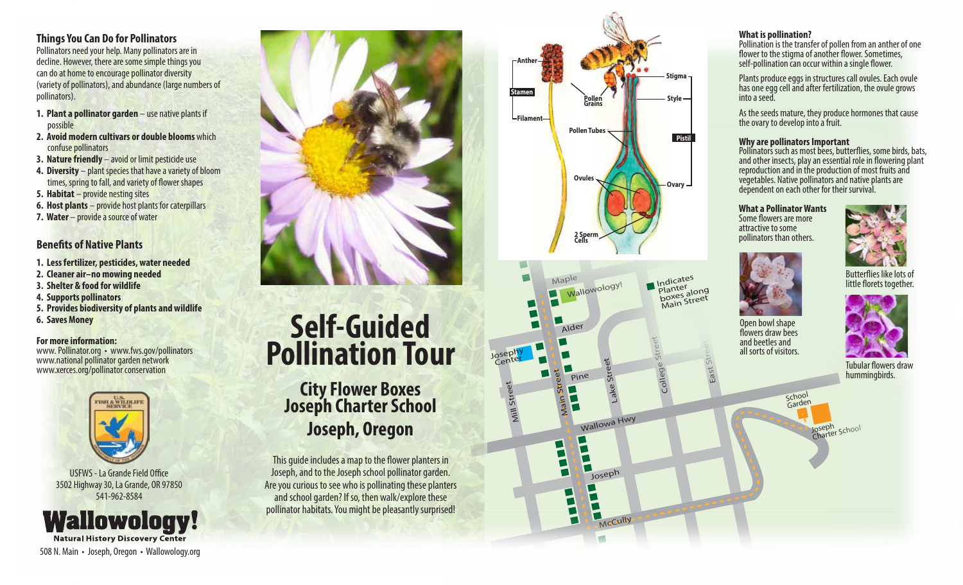**Things You Can Do for Pollinators** Pollinators need your help. Many pollinators are in

decline. However, there are some simple things you can do at home to encourage pollinator diversity (variety of pollinators), and abundance (large numbers of pollinators).

- **1. Plant a pollinator garden** use native plants if possible
- **2. Avoid modern cultivars or double blooms** which confuse pollinators
- **3. Nature friendly** avoid or limit pesticide use
- **4. Diversity** plant species that have a variety of bloom times, spring to fall, and variety of flower shapes
- **5. Habitat** provide nesting sites
- **6. Host plants** provide host plants for caterpillars
- **7. Water** provide a source of water

#### **Benefits of Native Plants**

- **1. Less fertilizer, pesticides, water needed**
- **2. Cleaner air–no mowing needed**
- **3. Shelter & food for wildlife**
- **4. Supports pollinators**
- **5. Provides biodiversity of plants and wildlife**
- **6. Saves Money**

#### **For more information:**

www. Pollinator.org • www.fws.gov/pollinators www.national pollinator garden network www.xerces.org/pollinator conservation



USFWS - La Grande Field Office 3502 Highway 30, La Grande, OR 97850 541-962-8584

**Wallowology! Natural History Discovery Center** 508 N. Main • Joseph, Oregon • Wallowology.org



# **Self-Guided Pollination Tour**

# **City Flower Boxes Joseph Charter School Joseph, Oregon**

This quide includes a map to the flower planters in Joseph, and to the Joseph school pollinator garden. Are you curious to see who is pollinating these planters and school garden? If so, then walk/explore these pollinator habitats. You might be pleasantly surprised!



**Joseph** 

 $\overline{\mathsf{L}}$  $\blacksquare$ 

2

McCully

#### **What is pollination?**

Pollination is the transfer of pollen from an anther of one flower to the stigma of another flower. Sometimes, self-pollination can occur within a single flower.

Plants produce eggs in structures call ovules. Each ovule has one egg cell and after fertilization, the ovule grows into a seed.

As the seeds mature, they produce hormones that cause the ovary to develop into a fruit.

#### **Why are pollinators Important**

Pollinators such as most bees, butterflies, some birds, bats, and other insects, play an essential role in flowering plant reproduction and in the production of most fruits and vegetables. Native pollinators and native plants are dependent on each other for their survival.

#### **What a Pollinator Wants**  Some flowers are more

attractive to some pollinators than others.





Open bowl shape flowers draw bees and beetles and



Tubular flowers draw hummingbirds.

all sorts of visitors.

School Garden